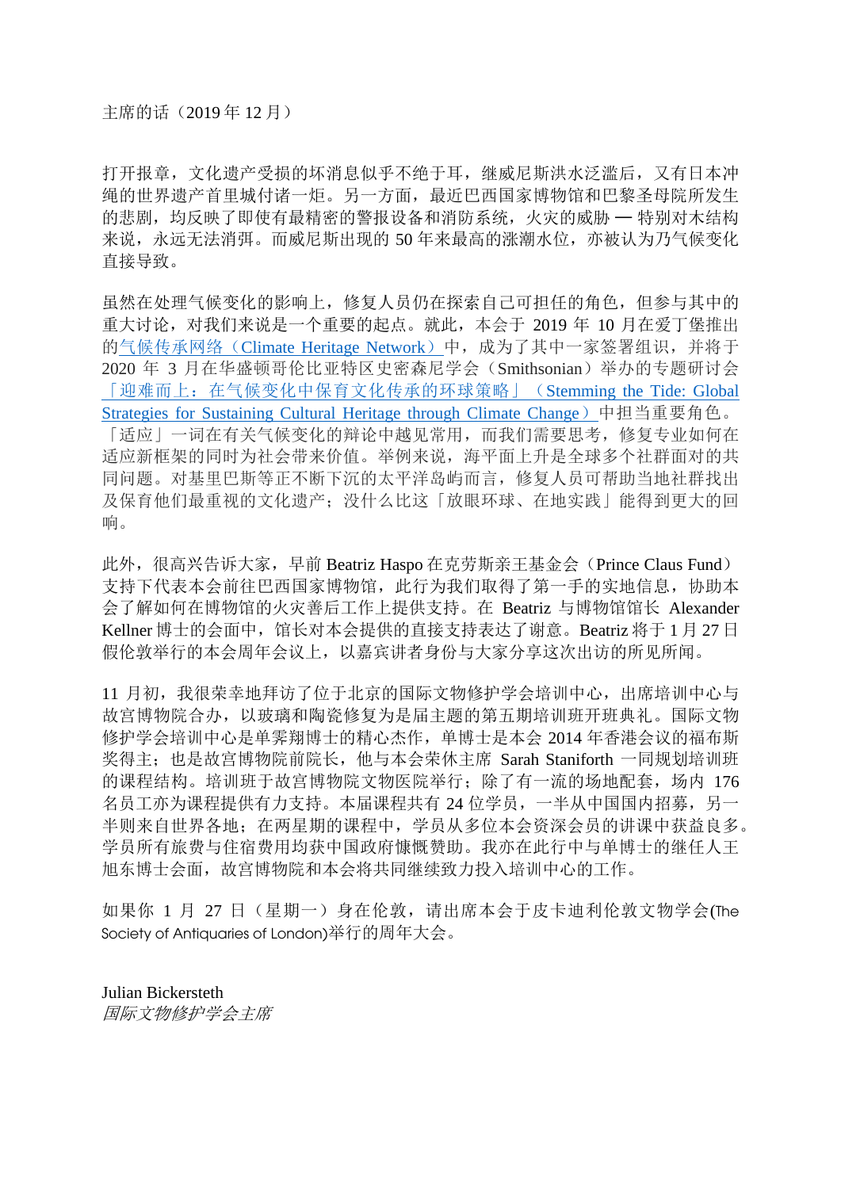打开报章,文化遗产受损的坏消息似乎不绝于耳,继威尼斯洪水泛滥后,又有日本冲 绳的世界遗产首里城付诸一炬。另一方面,最近巴西国家博物馆和巴黎圣母院所发生 的悲剧,均反映了即使有最精密的警报设备和消防系统,火灾的威胁 — 特别对木结构 来说,永远无法消弭。而威尼斯出现的50年来最高的涨潮水位,亦被认为乃气候变化 直接导致。

虽然在处理气候变化的影响上,修复人员仍在探索自己可担任的角色,但参与其中的 重大讨论,对我们来说是一个重要的起点。就此,本会于 2019 年 10 月在爱丁堡推出 的气候传承网络([Climate Heritage Network](http://climateheritage.org/))中,成为了其中一家签署组识,并将于 2020 年 3 月在华盛顿哥伦比亚特区史密森尼学会(Smithsonian)举办的专题研讨会 [「迎难而上:在气候变化中保育文化传承的环球策略」\(](https://americanart.si.edu/research/symposia/2020/stemming-the-tide)Stemming the Tide: Global [Strategies for Sustaining Cultural Heritage through Climate Change](https://americanart.si.edu/research/symposia/2020/stemming-the-tide))中担当重要角色。

「适应」一词在有关气候变化的辩论中越见常用,而我们需要思考,修复专业如何在 适应新框架的同时为社会带来价值。举例来说,海平面上升是全球多个社群面对的共 同问题。对基里巴斯等正不断下沉的太平洋岛屿而言,修复人员可帮助当地社群找出 及保育他们最重视的文化遗产;没什么比这「放眼环球、在地实践」能得到更大的回 响。

此外,很高兴告诉大家,早前 Beatriz Haspo 在克劳斯亲王基金会(Prince Claus Fund) 支持下代表本会前往巴西国家博物馆,此行为我们取得了第一手的实地信息,协助本 会了解如何在博物馆的火灾善后工作上提供支持。在 Beatriz 与博物馆馆长 Alexander Kellner 博士的会面中, 馆长对本会提供的直接支持表达了谢意。Beatriz 将于 1 月 27 日 假伦敦举行的本会周年会议上,以嘉宾讲者身份与大家分享这次出访的所见所闻。

11 月初,我很荣幸地拜访了位于北京的国际文物修护学会培训中心,出席培训中心与 故宫博物院合办,以玻璃和陶瓷修复为是届主题的第五期培训班开班典礼。国际文物 修护学会培训中心是单霁翔博士的精心杰作,单博士是本会 2014 年香港会议的福布斯 奖得主;也是故宫博物院前院长,他与本会荣休主席 Sarah Staniforth 一同规划培训班 的课程结构。培训班干故宫博物院文物医院举行;除了有一流的场地配套,场内 176 名员工亦为课程提供有力支持。本届课程共有 24 位学员,一半从中国国内招募,另一 半则来自世界各地;在两星期的课程中,学员从多位本会资深会员的讲课中获益良多。 学员所有旅费与住宿费用均获中国政府慷慨赞助。我亦在此行中与单博士的继任人王 旭东博士会面,故宫博物院和本会将共同继续致力投入培训中心的工作。

如果你 1 月 27 日(星期一)身在伦敦,请出席本会于皮卡迪利伦敦文物学会(The Society of Antiquaries of London)举行的周年大会。

Julian Bickersteth 国际文物修护学会主席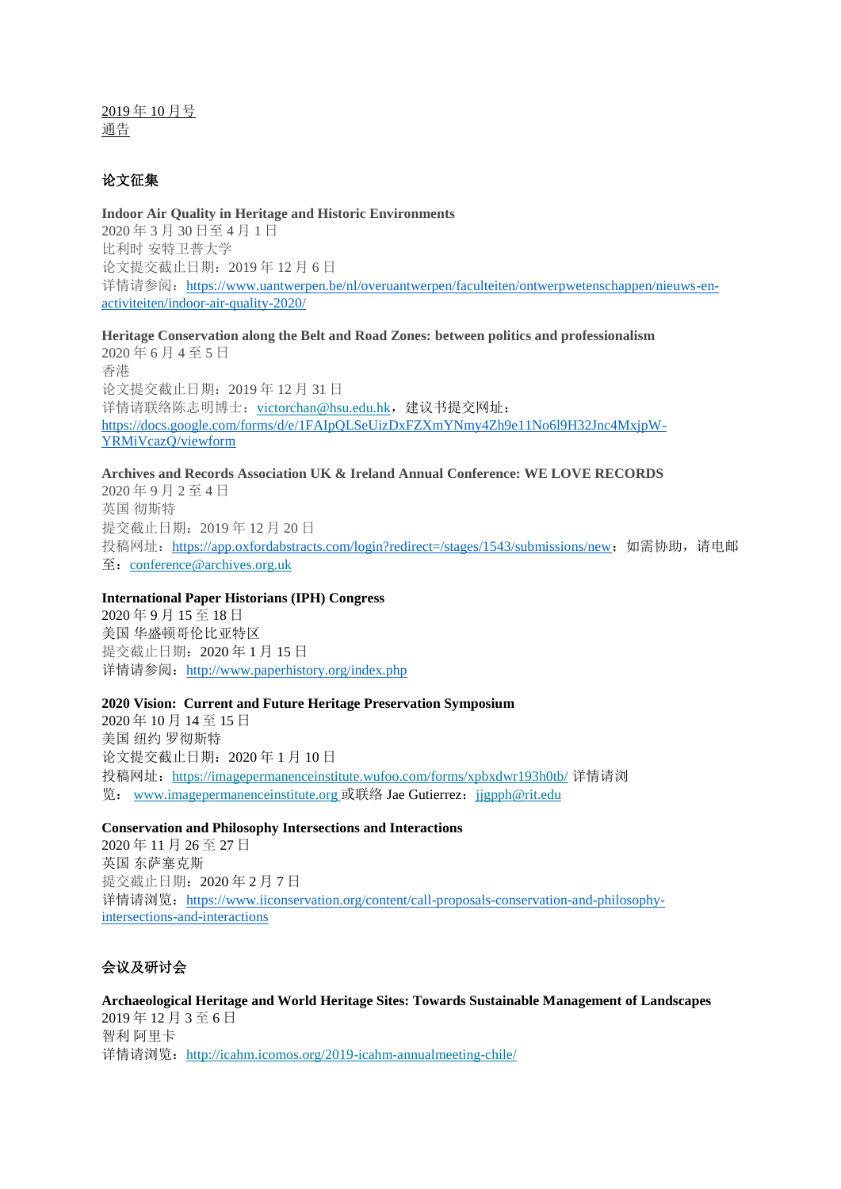2019 年 10 月号 通告

## 论文征集

**Indoor Air Quality in Heritage and Historic Environments** 2020 年 3 月 30 日至 4 月 1 日 比利时 安特卫普大学 论文提交截止日期:2019 年 12 月 6 日 详情请参阅: [https://www.uantwerpen.be/nl/overuantwerpen/faculteiten/ontwerpwetenschappen/nieuws-en](https://www.uantwerpen.be/nl/overuantwerpen/faculteiten/ontwerpwetenschappen/nieuws-en-activiteiten/indoor-air-quality-2020/)[activiteiten/indoor-air-quality-2020/](https://www.uantwerpen.be/nl/overuantwerpen/faculteiten/ontwerpwetenschappen/nieuws-en-activiteiten/indoor-air-quality-2020/)

**Heritage Conservation along the Belt and Road Zones: between politics and professionalism** 2020 年 6 月 4 至 5 日 香港 论文提交截止日期:2019 年 12 月 31 日 详情请联络陈志明博士: [victorchan@hsu.edu.hk](mailto:victorchan@hsu.edu.hk), 建议书提交网址: [https://docs.google.com/forms/d/e/1FAIpQLSeUizDxFZXmYNmy4Zh9e11No6l9H32Jnc4MxjpW-](https://docs.google.com/forms/d/e/1FAIpQLSeUizDxFZXmYNmy4Zh9e11No6l9H32Jnc4MxjpW-YRMiVcazQ/viewform)[YRMiVcazQ/viewform](https://docs.google.com/forms/d/e/1FAIpQLSeUizDxFZXmYNmy4Zh9e11No6l9H32Jnc4MxjpW-YRMiVcazQ/viewform)

**Archives and Records Association UK & Ireland Annual Conference: WE LOVE RECORDS**

2020 年 9 月 2 至 4 日 英国 彻斯特 提交截止日期:2019 年 12 月 20 日 投稿网址: <https://app.oxfordabstracts.com/login?redirect=/stages/1543/submissions/new>;如需协助,请电邮  $\overline{\mathfrak{L}}$ : [conference@archives.org.uk](mailto:conference@archives.org.uk)

## **International Paper Historians (IPH) Congress**

2020 年 9 月 15 至 18 日 美国 华盛顿哥伦比亚特区 提交截止日期:2020 年 1 月 15 日 详情请参阅: <http://www.paperhistory.org/index.php>

#### **2020 Vision: Current and Future Heritage Preservation Symposium**

2020 年 10 月 14 至 15 日 美国 纽约 罗彻斯特 论文提交截止日期:2020 年 1 月 10 日 投稿网址:<https://imagepermanenceinstitute.wufoo.com/forms/xpbxdwr193h0tb/> 详情请浏 览: [www.imagepermanenceinstitute.org](http://www.imagepermanenceinstitute.org/) 或联络 Jae Gutierrez: [jjgpph@rit.edu](mailto:jjgpph@rit.edu)

#### **Conservation and Philosophy Intersections and Interactions**

2020 年 11 月 26 至 27 日 英国 东萨塞克斯 提交截止日期:2020 年 2 月 7 日 详情请浏览: [https://www.iiconservation.org/content/call-proposals-conservation-and-philosophy](https://www.iiconservation.org/content/call-proposals-conservation-and-philosophy-intersections-and-interactions)[intersections-and-interactions](https://www.iiconservation.org/content/call-proposals-conservation-and-philosophy-intersections-and-interactions)

## 会议及研讨会

**Archaeological Heritage and World Heritage Sites: Towards Sustainable Management of Landscapes** 2019 年 12 月 3 至 6 日 智利 阿里卡 详情请浏览: <http://icahm.icomos.org/2019-icahm-annualmeeting-chile/>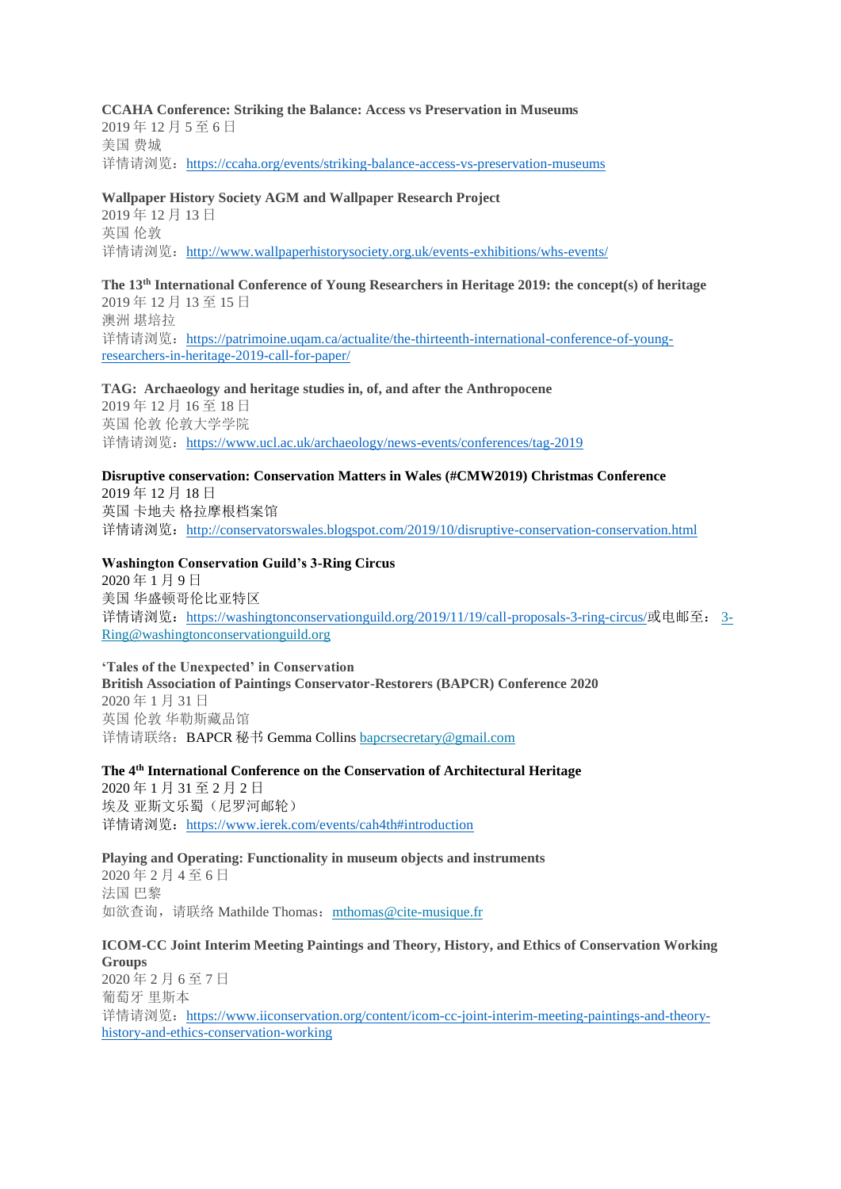### **CCAHA Conference: Striking the Balance: Access vs Preservation in Museums**

2019 年 12 月 5 至 6 日 美国 费城 详情请浏览: <https://ccaha.org/events/striking-balance-access-vs-preservation-museums>

### **Wallpaper History Society AGM and Wallpaper Research Project**

2019 年 12 月 13 日 英国 伦敦 详情请浏览: <http://www.wallpaperhistorysociety.org.uk/events-exhibitions/whs-events/>

### **The 13th International Conference of Young Researchers in Heritage 2019: the concept(s) of heritage** 2019 年 12 月 13 至 15 日 澳洲 堪培拉 详情请浏览: [https://patrimoine.uqam.ca/actualite/the-thirteenth-international-conference-of-young](https://patrimoine.uqam.ca/actualite/the-thirteenth-international-conference-of-young-researchers-in-heritage-2019-call-for-paper/)[researchers-in-heritage-2019-call-for-paper/](https://patrimoine.uqam.ca/actualite/the-thirteenth-international-conference-of-young-researchers-in-heritage-2019-call-for-paper/)

**TAG: Archaeology and heritage studies in, of, and after the Anthropocene**

2019 年 12 月 16 至 18 日 英国 伦敦 伦敦大学学院 详情请浏览: <https://www.ucl.ac.uk/archaeology/news-events/conferences/tag-2019>

## **Disruptive conservation: Conservation Matters in Wales (#CMW2019) Christmas Conference**

2019 年 12 月 18 日 英国 卡地夫 格拉摩根档案馆 详情请浏览:<http://conservatorswales.blogspot.com/2019/10/disruptive-conservation-conservation.html>

#### **Washington Conservation Guild's 3-Ring Circus**

2020 年 1 月 9 日 美国 华盛顿哥伦比亚特区 详情请浏览: <https://washingtonconservationguild.org/2019/11/19/call-proposals-3-ring-circus/>或电邮至: [3-](mailto:3-Ring@washingtonconservationguild.org) [Ring@washingtonconservationguild.org](mailto:3-Ring@washingtonconservationguild.org)

**'Tales of the Unexpected' in Conservation British Association of Paintings Conservator-Restorers (BAPCR) Conference 2020** 2020 年 1 月 31 日 英国 伦敦 华勒斯藏品馆 详情请联络:BAPCR 秘书 Gemma Collins [bapcrsecretary@gmail.com](mailto:bapcrsecretary@gmail.com)

**The 4th International Conference on the Conservation of Architectural Heritage**

2020 年 1 月 31 至 2 月 2 日 埃及 亚斯文乐蜀(尼罗河邮轮) 详情请浏览: <https://www.ierek.com/events/cah4th#introduction>

#### **Playing and Operating: Functionality in museum objects and instruments**

2020 年 2 月 4 至 6 日 法国 巴黎 如欲查询, 请联络 Mathilde Thomas: [mthomas@cite-musique.fr](mailto:mthomas@cite-musique.fr)

#### **ICOM-CC Joint Interim Meeting Paintings and Theory, History, and Ethics of Conservation Working Groups**

2020 年 2 月 6 至 7 日 葡萄牙 里斯本 详情请浏览: [https://www.iiconservation.org/content/icom-cc-joint-interim-meeting-paintings-and-theory](https://www.iiconservation.org/content/icom-cc-joint-interim-meeting-paintings-and-theory-history-and-ethics-conservation-working)[history-and-ethics-conservation-working](https://www.iiconservation.org/content/icom-cc-joint-interim-meeting-paintings-and-theory-history-and-ethics-conservation-working)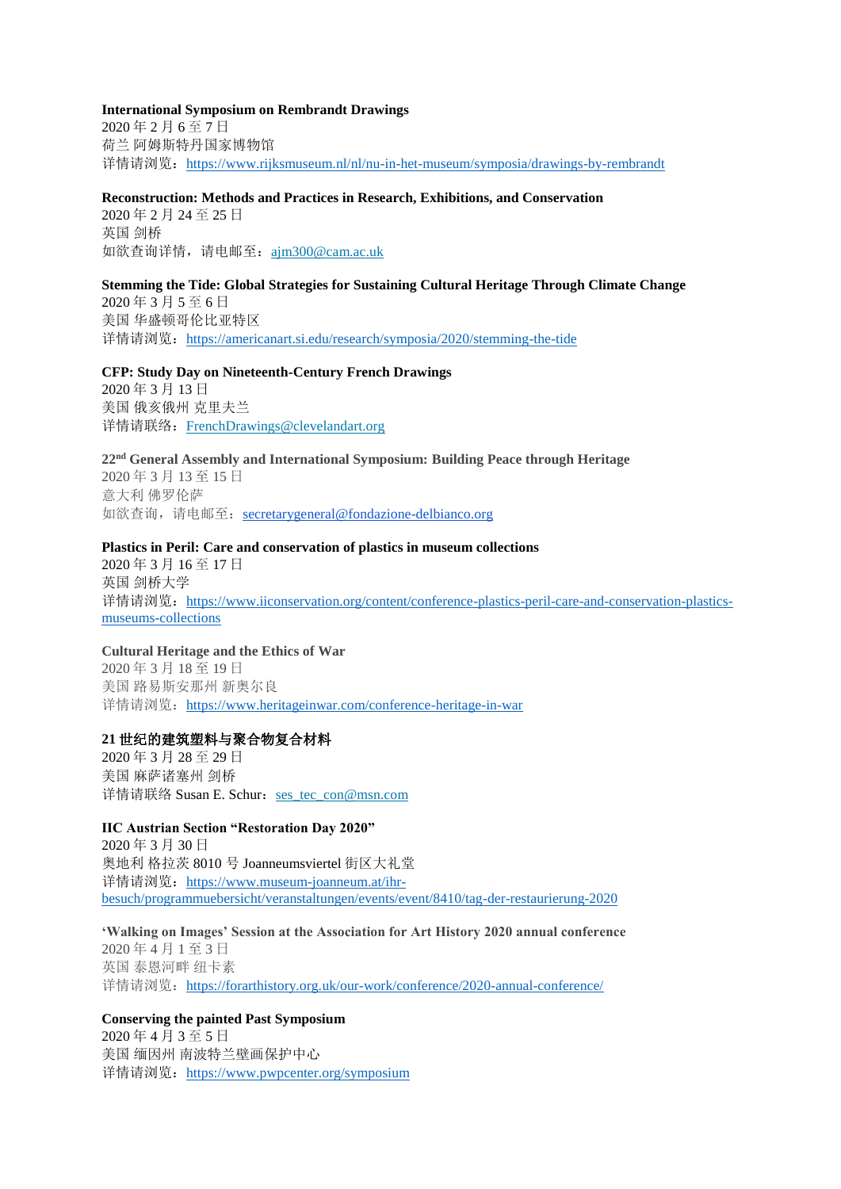**International Symposium on Rembrandt Drawings** 2020 年 2 月 6 至 7 日 荷兰 阿姆斯特丹国家博物馆 详情请浏览: <https://www.rijksmuseum.nl/nl/nu-in-het-museum/symposia/drawings-by-rembrandt>

#### **Reconstruction: Methods and Practices in Research, Exhibitions, and Conservation**

2020 年 2 月 24 至 25 日 英国 剑桥 如欲查询详情,请电邮至: [ajm300@cam.ac.uk](mailto:ajm300@cam.ac.uk)

**Stemming the Tide: Global Strategies for Sustaining Cultural Heritage Through Climate Change** 2020 年 3 月 5 至 6 日 美国 华盛顿哥伦比亚特区 详情请浏览: <https://americanart.si.edu/research/symposia/2020/stemming-the-tide>

## **CFP: Study Day on Nineteenth-Century French Drawings**

2020 年 3 月 13 日 美国 俄亥俄州 克里夫兰 详情请联络:[FrenchDrawings@clevelandart.org](mailto:FrenchDrawings@clevelandart.org)

**22nd General Assembly and International Symposium: Building Peace through Heritage** 2020 年 3 月 13 至 15 日 意大利 佛罗伦萨 如欲查询, 请电邮至: [secretarygeneral@fondazione-delbianco.org](mailto:secretarygeneral@fondazione-delbianco.org)

#### **Plastics in Peril: Care and conservation of plastics in museum collections**

2020 年 3 月 16 至 17 日 英国 剑桥大学 详情请浏览: [https://www.iiconservation.org/content/conference-plastics-peril-care-and-conservation-plastics](https://www.iiconservation.org/content/conference-plastics-peril-care-and-conservation-plastics-museums-collections)[museums-collections](https://www.iiconservation.org/content/conference-plastics-peril-care-and-conservation-plastics-museums-collections)

## **Cultural Heritage and the Ethics of War**

2020 年 3 月 18 至 19 日 美国 路易斯安那州 新奥尔良 详情请浏览: <https://www.heritageinwar.com/conference-heritage-in-war>

### **21** 世纪的建筑塑料与聚合物复合材料

2020 年 3 月 28 至 29 日 美国 麻萨诸塞州 剑桥 详情请联络 Susan E. Schur: [ses\\_tec\\_con@msn.com](mailto:ses_tec_con@msn.com)

## **IIC Austrian Section "Restoration Day 2020"**

2020 年 3 月 30 日 奥地利 格拉茨 8010 号 Joanneumsviertel 街区大礼堂 详情请浏览: [https://www.museum-joanneum.at/ihr](https://www.museum-joanneum.at/ihr-besuch/programmuebersicht/veranstaltungen/events/event/8410/tag-der-restaurierung-2020)[besuch/programmuebersicht/veranstaltungen/events/event/8410/tag-der-restaurierung-2020](https://www.museum-joanneum.at/ihr-besuch/programmuebersicht/veranstaltungen/events/event/8410/tag-der-restaurierung-2020)

**'Walking on Images' Session at the Association for Art History 2020 annual conference** 2020 年 4 月 1 至 3 日 英国 泰恩河畔 纽卡素 详情请浏览: <https://forarthistory.org.uk/our-work/conference/2020-annual-conference/>

## **Conserving the painted Past Symposium**

2020 年 4 月 3 至 5 日 美国 缅因州 南波特兰壁画保护中心 详情请浏览: <https://www.pwpcenter.org/symposium>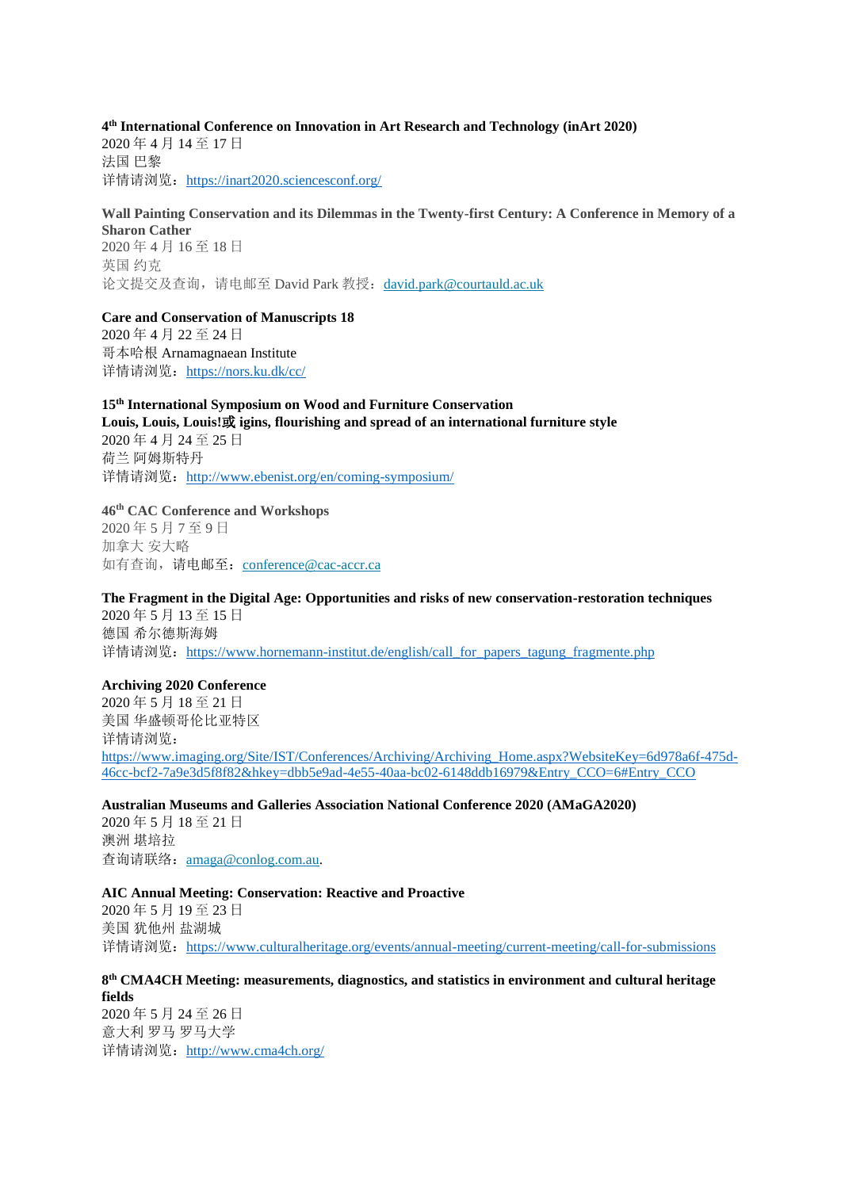### **4 th International Conference on Innovation in Art Research and Technology (inArt 2020)**

2020 年 4 月 14 至 17 日 法国 巴黎 详情请浏览: <https://inart2020.sciencesconf.org/>

## **Wall Painting Conservation and its Dilemmas in the Twenty-first Century: A Conference in Memory of a Sharon Cather**

2020 年 4 月 16 至 18 日 英国 约克 论文提交及查询,请电邮至 David Park 教授:[david.park@courtauld.ac.uk](mailto:david.park@courtauld.ac.uk)

**Care and Conservation of Manuscripts 18** 2020 年 4 月 22 至 24 日 哥本哈根 Arnamagnaean Institute

详情请浏览: <https://nors.ku.dk/cc/>

# **15th International Symposium on Wood and Furniture Conservation Louis, Louis, Louis!**或 **igins, flourishing and spread of an international furniture style** 2020 年 4 月 24 至 25 日

荷兰 阿姆斯特丹 详情请浏览: <http://www.ebenist.org/en/coming-symposium/>

## **46th CAC Conference and Workshops**

2020 年 5 月 7 至 9 日 加拿大 安大略 如有查询,请电邮至: [conference@cac-accr.ca](mailto:conference@cac-accr.ca)

## **The Fragment in the Digital Age: Opportunities and risks of new conservation-restoration techniques**

2020 年 5 月 13 至 15 日 德国 希尔德斯海姆 详情请浏览: [https://www.hornemann-institut.de/english/call\\_for\\_papers\\_tagung\\_fragmente.php](https://www.hornemann-institut.de/english/call_for_papers_tagung_fragmente.php)

## **Archiving 2020 Conference**

2020 年 5 月 18 至 21 日 美国 华盛顿哥伦比亚特区 详情请浏览: [https://www.imaging.org/Site/IST/Conferences/Archiving/Archiving\\_Home.aspx?WebsiteKey=6d978a6f-475d-](https://www.imaging.org/Site/IST/Conferences/Archiving/Archiving_Home.aspx?WebsiteKey=6d978a6f-475d-46cc-bcf2-7a9e3d5f8f82&hkey=dbb5e9ad-4e55-40aa-bc02-6148ddb16979&Entry_CCO=6#Entry_CCO)[46cc-bcf2-7a9e3d5f8f82&hkey=dbb5e9ad-4e55-40aa-bc02-6148ddb16979&Entry\\_CCO=6#Entry\\_CCO](https://www.imaging.org/Site/IST/Conferences/Archiving/Archiving_Home.aspx?WebsiteKey=6d978a6f-475d-46cc-bcf2-7a9e3d5f8f82&hkey=dbb5e9ad-4e55-40aa-bc02-6148ddb16979&Entry_CCO=6#Entry_CCO)

## **Australian Museums and Galleries Association National Conference 2020 (AMaGA2020)**

2020 年 5 月 18 至 21 日 澳洲 堪培拉 查询请联络:[amaga@conlog.com.au.](mailto:amaga@conlog.com.au)

### **AIC Annual Meeting: Conservation: Reactive and Proactive**

2020 年 5 月 19 至 23 日 美国 犹他州 盐湖城 详情请浏览:<https://www.culturalheritage.org/events/annual-meeting/current-meeting/call-for-submissions>

#### **8 th CMA4CH Meeting: measurements, diagnostics, and statistics in environment and cultural heritage fields**

2020 年 5 月 24 至 26 日 意大利 罗马 罗马大学 详情请浏览: <http://www.cma4ch.org/>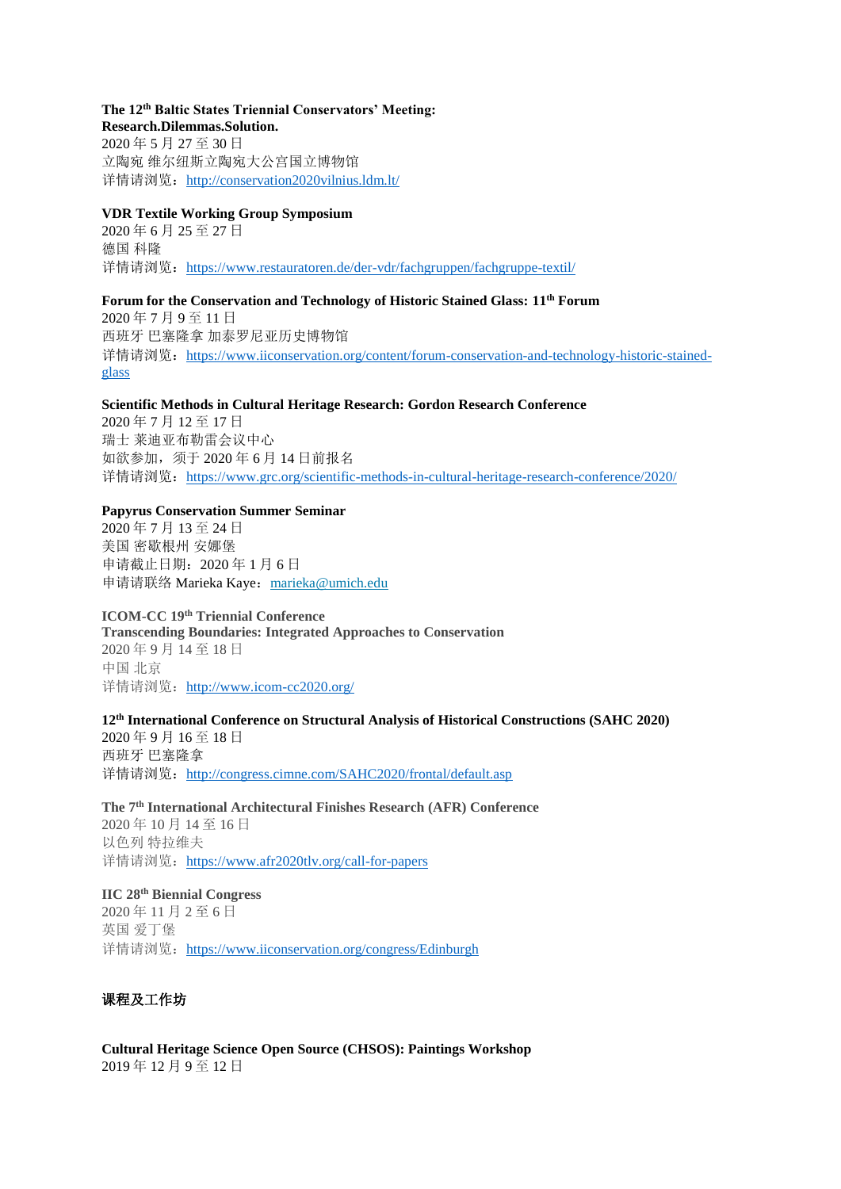#### **The 12th Baltic States Triennial Conservators' Meeting: Research.Dilemmas.Solution.**

2020 年 5 月 27 至 30 日 立陶宛 维尔纽斯立陶宛大公宫国立博物馆 详情请浏览: <http://conservation2020vilnius.ldm.lt/>

## **VDR Textile Working Group Symposium**

2020 年 6 月 25 至 27 日 德国 科隆 详情请浏览: <https://www.restauratoren.de/der-vdr/fachgruppen/fachgruppe-textil/>

## **Forum for the Conservation and Technology of Historic Stained Glass: 11th Forum**

2020 年 7 月 9 至 11 日 西班牙 巴塞隆拿 加泰罗尼亚历史博物馆 详情请浏览: [https://www.iiconservation.org/content/forum-conservation-and-technology-historic-stained](https://www.iiconservation.org/content/forum-conservation-and-technology-historic-stained-glass)[glass](https://www.iiconservation.org/content/forum-conservation-and-technology-historic-stained-glass)

### **Scientific Methods in Cultural Heritage Research: Gordon Research Conference**

2020 年 7 月 12 至 17 日 瑞士 莱迪亚布勒雷会议中心 如欲参加,须于 2020 年 6 月 14 日前报名 详情请浏览: <https://www.grc.org/scientific-methods-in-cultural-heritage-research-conference/2020/>

### **Papyrus Conservation Summer Seminar**

2020 年 7 月 13 至 24 日 美国 密歇根州 安娜堡 申请截止日期:2020 年 1 月 6 日 申请请联络 Marieka Kave: [marieka@umich.edu](mailto:marieka@umich.edu)

**ICOM-CC 19th Triennial Conference Transcending Boundaries: Integrated Approaches to Conservation** 2020 年 9 月 14 至 18 日 中国 北京 详情请浏览: <http://www.icom-cc2020.org/>

## **12th International Conference on Structural Analysis of Historical Constructions (SAHC 2020)** 2020 年 9 月 16 至 18 日 西班牙 巴塞隆拿 详情请浏览: <http://congress.cimne.com/SAHC2020/frontal/default.asp>

**The 7th International Architectural Finishes Research (AFR) Conference** 2020 年 10 月 14 至 16 日 以色列 特拉维夫 详情请浏览: <https://www.afr2020tlv.org/call-for-papers>

**IIC 28th Biennial Congress** 2020 年 11 月 2 至 6 日 英国 爱丁堡 详情请浏览: <https://www.iiconservation.org/congress/Edinburgh>

## 课程及工作坊

**Cultural Heritage Science Open Source (CHSOS): Paintings Workshop** 2019 年 12 月 9 至 12 日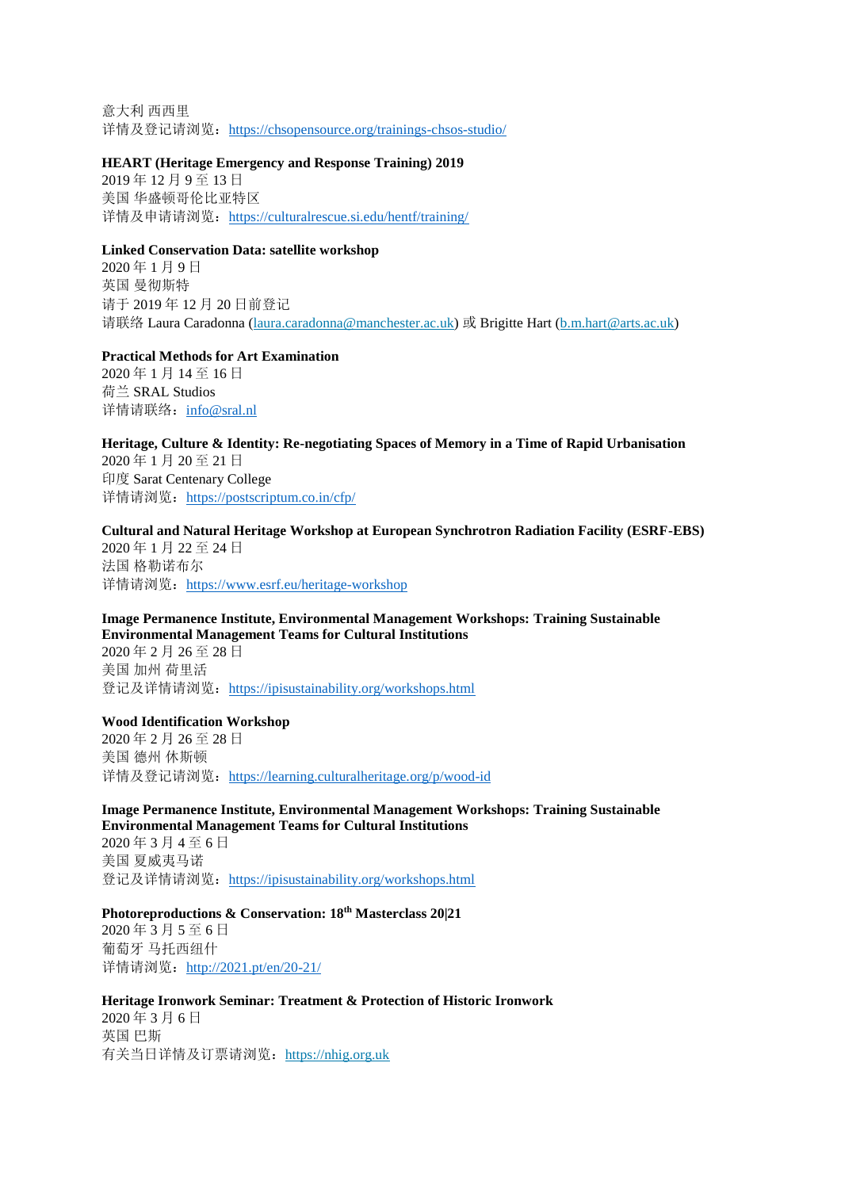意大利 西西里 详情及登记请浏览: <https://chsopensource.org/trainings-chsos-studio/>

#### **HEART (Heritage Emergency and Response Training) 2019**

2019 年 12 月 9 至 13 日 美国 华盛顿哥伦比亚特区 详情及申请请浏览: <https://culturalrescue.si.edu/hentf/training/>

### **Linked Conservation Data: satellite workshop**

2020 年 1 月 9 日 英国 曼彻斯特 请于 2019 年 12 月 20 日前登记 请联络 Laura Caradonna [\(laura.caradonna@manchester.ac.uk\)](mailto:laura.caradonna@manchester.ac.uk) 或 Brigitte Hart [\(b.m.hart@arts.ac.uk\)](mailto:b.m.hart@arts.ac.uk)

#### **Practical Methods for Art Examination**

2020 年 1 月 14 至 16 日 荷兰 SRAL Studios 详情请联络: [info@sral.nl](mailto:info@sral.nl)

**Heritage, Culture & Identity: Re-negotiating Spaces of Memory in a Time of Rapid Urbanisation** 2020 年 1 月 20 至 21 日 印度 Sarat Centenary College 详情请浏览: <https://postscriptum.co.in/cfp/>

## **Cultural and Natural Heritage Workshop at European Synchrotron Radiation Facility (ESRF-EBS)** 2020 年 1 月 22 至 24 日

法国 格勒诺布尔 详情请浏览: <https://www.esrf.eu/heritage-workshop>

#### **Image Permanence Institute, Environmental Management Workshops: Training Sustainable Environmental Management Teams for Cultural Institutions**

2020 年 2 月 26 至 28 日 美国 加州 荷里活 登记及详情请浏览: <https://ipisustainability.org/workshops.html>

#### **Wood Identification Workshop**

2020 年 2 月 26 至 28 日 美国 德州 休斯顿 详情及登记请浏览: <https://learning.culturalheritage.org/p/wood-id>

## **Image Permanence Institute, Environmental Management Workshops: Training Sustainable Environmental Management Teams for Cultural Institutions**

2020 年 3 月 4 至 6 日 美国 夏威夷马诺 登记及详情请浏览: <https://ipisustainability.org/workshops.html>

### **Photoreproductions & Conservation: 18th Masterclass 20|21**

2020 年 3 月 5 至 6 日 葡萄牙 马托西纽什 详情请浏览: <http://2021.pt/en/20-21/>

# **Heritage Ironwork Seminar: Treatment & Protection of Historic Ironwork** 2020 年 3 月 6 日

英国 巴斯 有关当日详情及订票请浏览:[https://nhig.org.uk](https://nhig.org.uk/)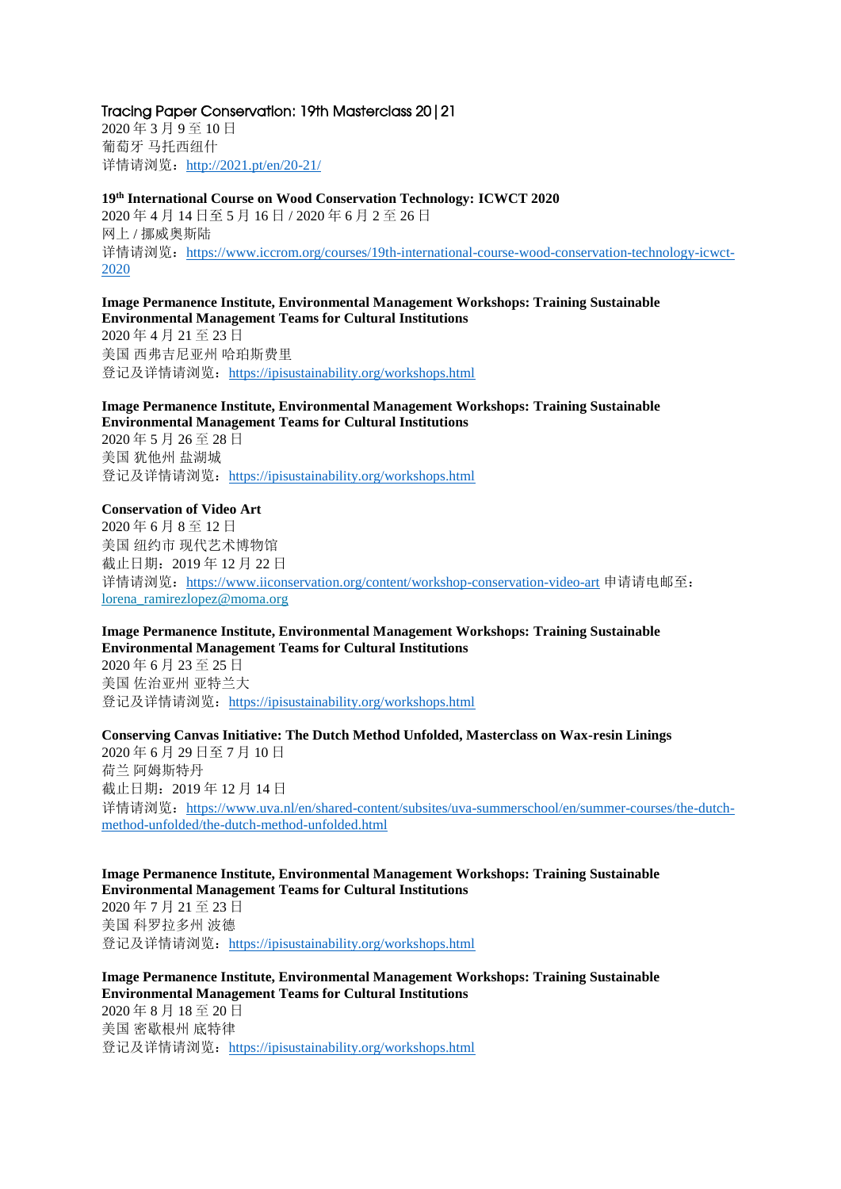### Tracing Paper Conservation: 19th Masterclass 20|21

2020 年 3 月 9 至 10 日 葡萄牙 马托西纽什 详情请浏览: <http://2021.pt/en/20-21/>

**19th International Course on Wood Conservation Technology: ICWCT 2020**

2020 年 4 月 14 日至 5 月 16 日 / 2020 年 6 月 2 至 26 日 网上 / 挪威奥斯陆 详情请浏览: [https://www.iccrom.org/courses/19th-international-course-wood-conservation-technology-icwct-](https://www.iccrom.org/courses/19th-international-course-wood-conservation-technology-icwct-2020)[2020](https://www.iccrom.org/courses/19th-international-course-wood-conservation-technology-icwct-2020)

## **Image Permanence Institute, Environmental Management Workshops: Training Sustainable Environmental Management Teams for Cultural Institutions**

2020 年 4 月 21 至 23 日 美国 西弗吉尼亚州 哈珀斯费里 登记及详情请浏览: <https://ipisustainability.org/workshops.html>

## **Image Permanence Institute, Environmental Management Workshops: Training Sustainable Environmental Management Teams for Cultural Institutions**

2020 年 5 月 26 至 28 日 美国 犹他州 盐湖城 登记及详情请浏览: <https://ipisustainability.org/workshops.html>

## **Conservation of Video Art**

2020 年 6 月 8 至 12 日 美国 纽约市 现代艺术博物馆 截止日期:2019 年 12 月 22 日 详情请浏览: <https://www.iiconservation.org/content/workshop-conservation-video-art> 申请请电邮至: [lorena\\_ramirezlopez@moma.org](mailto:lorena_ramirezlopez@moma.org)

## **Image Permanence Institute, Environmental Management Workshops: Training Sustainable Environmental Management Teams for Cultural Institutions**

2020 年 6 月 23 至 25 日 美国 佐治亚州 亚特兰大 登记及详情请浏览: <https://ipisustainability.org/workshops.html>

## **Conserving Canvas Initiative: The Dutch Method Unfolded, Masterclass on Wax-resin Linings**

2020 年 6 月 29 日至 7 月 10 日 荷兰 阿姆斯特丹 截止日期:2019 年 12 月 14 日 详情请浏览: [https://www.uva.nl/en/shared-content/subsites/uva-summerschool/en/summer-courses/the-dutch](https://www.uva.nl/en/shared-content/subsites/uva-summerschool/en/summer-courses/the-dutch-method-unfolded/the-dutch-method-unfolded.html)[method-unfolded/the-dutch-method-unfolded.html](https://www.uva.nl/en/shared-content/subsites/uva-summerschool/en/summer-courses/the-dutch-method-unfolded/the-dutch-method-unfolded.html)

#### **Image Permanence Institute, Environmental Management Workshops: Training Sustainable Environmental Management Teams for Cultural Institutions**

2020 年 7 月 21 至 23 日 美国 科罗拉多州 波德 登记及详情请浏览: <https://ipisustainability.org/workshops.html>

**Image Permanence Institute, Environmental Management Workshops: Training Sustainable Environmental Management Teams for Cultural Institutions** 2020 年 8 月 18 至 20 日 美国 密歇根州 底特律 登记及详情请浏览: <https://ipisustainability.org/workshops.html>